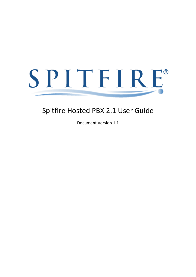# Spitfire Hosted PBX 2.1 User Guide

Document Version 1.1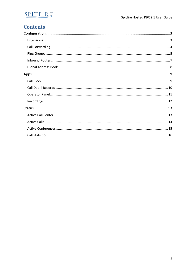### **Contents**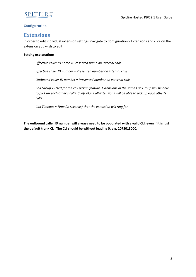

### <span id="page-2-0"></span>**Configuration**

### <span id="page-2-1"></span>**Extensions**

In order to edit individual extension settings, navigate to Configuration > Extensions and click on the extension you wish to edit.

### **Setting explanations:**

*Effective caller ID name = Presented name on internal calls*

*Effective caller ID number = Presented number on internal calls*

*Outbound caller ID number = Presented number on external calls*

*Call Group = Used for the call pickup feature. Extensions in the same Call Group will be able to pick up each other's calls. If left blank all extensions will be able to pick up each other's calls*

*Call Timeout = Time (in seconds) that the extension will ring for*

**The outbound caller ID number will always need to be populated with a valid CLI, even if it is just the default trunk CLI. The CLI should be without leading 0, e.g. 2075013000.**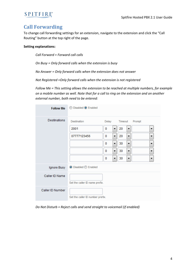### <span id="page-3-0"></span>**Call Forwarding**

To change call forwarding settings for an extension, navigate to the extension and click the "Call Routing" button at the top right of the page.

### **Setting explanations:**

*Call Forward = Forward call calls*

*On Busy = Only forward calls when the extension is busy*

*No Answer = Only forward calls when the extension does not answer*

*Not Registered =Only forward calls when the extension is not registered*

*Follow Me = This setting allows the extension to be reached at multiple numbers, for example on a mobile number as well. Note that for a call to ring on the extension and on another external number, both need to be entered:*

| <b>Follow Me</b> | Disabled <sup>O</sup> Enabled    |          |   |         |   |        |  |  |  |  |  |
|------------------|----------------------------------|----------|---|---------|---|--------|--|--|--|--|--|
| Destinations     | <b>Destination</b>               | Delay    |   | Timeout |   | Prompt |  |  |  |  |  |
|                  | 2001                             | 0        | ▼ | 20      |   | ▼      |  |  |  |  |  |
|                  | 07777123456                      | $\bf{0}$ | ۰ | 20      | ۰ | ▼      |  |  |  |  |  |
|                  |                                  | 0        | ۰ | 30      | ▼ | ▼      |  |  |  |  |  |
|                  |                                  | 0        | ۰ | 30      | ۰ | ▼      |  |  |  |  |  |
|                  |                                  | 0        | ۰ | 30      | ۰ | ▼      |  |  |  |  |  |
| Ignore Busy      | <b>◎</b> Disabled ◎ Enabled      |          |   |         |   |        |  |  |  |  |  |
| Caller ID Name   | Set the caller ID name prefix.   |          |   |         |   |        |  |  |  |  |  |
| Caller ID Number | Set the caller ID number prefix. |          |   |         |   |        |  |  |  |  |  |

*Do Not Disturb = Reject calls and send straight to voicemail (if enabled)*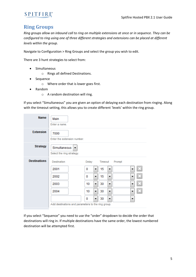### <span id="page-4-0"></span>**Ring Groups**

*Ring groups allow an inbound call to ring on multiple extensions at once or in sequence. They can be configured to ring using one of three different strategies and extensions can be placed at different levels within the group.*

Navigate to Configuration > Ring Groups and select the group you wish to edit.

There are 3 hunt strategies to select from:

- Simultaneous
	- o Rings all defined Destinations.
- Sequence
	- o Where order that is lower goes first.
- Random
	- o A random destination will ring.

If you select "Simultaneous" you are given an option of delaying each destination from ringing. Along with the timeout setting, this allows you to create different 'levels' within the ring group.

| <b>Name</b>         | Main<br>Enter a name.                              |         |                   |   |
|---------------------|----------------------------------------------------|---------|-------------------|---|
| <b>Extension</b>    | 7000<br>Enter the extension number.                |         |                   |   |
| <b>Strategy</b>     | Simultaneous<br>▼<br>Select the ring strategy.     |         |                   |   |
| <b>Destinations</b> | <b>Destination</b>                                 | Delay   | Timeout<br>Prompt |   |
|                     | 2001                                               | 0       | 15<br>۰           |   |
|                     | 2002                                               | 0<br>۰  | 15<br>۰           | ▼ |
|                     | 2003                                               | 10<br>۰ | 30<br>▼           | ▼ |
|                     | 2004                                               | 10<br>▼ | 30<br>۰           | ▼ |
|                     |                                                    | 0<br>▼  | 30<br>▼           | ▼ |
|                     | Add destinations and parameters to the ring group. |         |                   |   |

If you select "Sequence" you need to use the "order" dropdown to decide the order that destinations will ring in. If multiple destinations have the same order, the lowest numbered destination will be attempted first.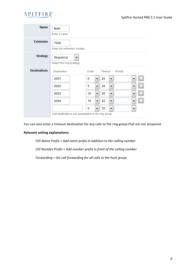| <b>Name</b>         | Main<br>Enter a name.                              |         |                   |        |
|---------------------|----------------------------------------------------|---------|-------------------|--------|
| <b>Extension</b>    | 7000<br>Enter the extension number.                |         |                   |        |
| <b>Strategy</b>     | Sequence<br>▼<br>Select the ring strategy.         |         |                   |        |
| <b>Destinations</b> | <b>Destination</b>                                 | Order   | Timeout<br>Prompt |        |
|                     | 2001                                               | 0<br>▼  | 20<br>▼           | ×<br>▼ |
|                     | 2002                                               | 5<br>۰  | 20<br>۰           | ×<br>▼ |
|                     | 2003                                               | 10<br>▼ | 20<br>۰           | ×<br>▼ |
|                     | 2004                                               | 15<br>▼ | 20<br>۰           | ×<br>▼ |
|                     |                                                    | 0<br>▼  | 30<br>۰           | ▼      |
|                     | Add destinations and parameters to the ring group. |         |                   |        |

You can also enter a timeout destination for any calls to the ring group that are not answered.

### **Relevant setting explanations:**

*CID Name Prefix = Add name prefix in addition to the calling number CID Number Prefix = Add number prefix in front of the calling number Forwarding = Set call forwarding for all calls to the hunt group*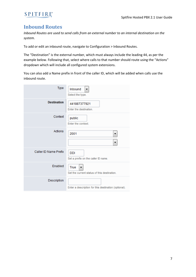

### <span id="page-6-0"></span>**Inbound Routes**

*Inbound Routes are used to send calls from an external number to an internal destination on the system.*

To add or edit an inbound route, navigate to Configuration > Inbound Routes.

The "Destination" is the external number, which must always include the leading 44, as per the example below. Following that, select where calls to that number should route using the "Actions" dropdown which will include all configured system extensions.

You can also add a Name prefix in front of the caller ID, which will be added when calls use the inbound route.

| Type                  | Inbound<br>Select the type.                              |
|-----------------------|----------------------------------------------------------|
| <b>Destination</b>    | 441887377921<br>Enter the destination.                   |
| Context               | public<br>Enter the context.                             |
| Actions               | 2001<br>▼<br>▼                                           |
| Caller ID Name Prefix | <b>DDI</b><br>Set a prefix on the caller ID name.        |
| Enabled               | True<br>÷<br>Set the current status of this destination. |
| Description           | Enter a description for this destination (optional).     |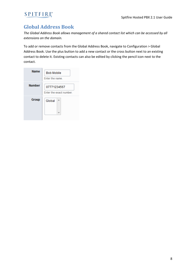### <span id="page-7-0"></span>**Global Address Book**

*The Global Address Book allows management of a shared contact list which can be accessed by all extensions on the domain.*

To add or remove contacts from the Global Address Book, navigate to Configuration > Global Address Book. Use the plus button to add a new contact or the cross button next to an existing contact to delete it. Existing contacts can also be edited by clicking the pencil icon next to the contact.

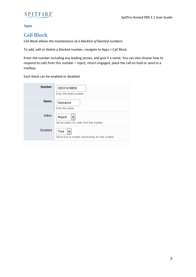### <span id="page-8-0"></span>**Apps**

### <span id="page-8-1"></span>**Call Block**

*Call Block allows the maintenance of a blacklist of blocked numbers.*

To add, edit or delete a blocked number, navigate to Apps > Call Block.

Enter the number including any leading zeroes, and give it a name. You can also choose how to respond to calls from this number – reject, return engaged, place the call on hold or send to a mailbox.

Each block can be enabled or disabled.

| <b>Number</b> | 02031418850<br>Enter the exact number.                            |
|---------------|-------------------------------------------------------------------|
| <b>Name</b>   | Nuisance<br>Enter the name.                                       |
| Action        | Reject<br>▼<br>Set an action for calls from this number.          |
| Enabled       | True<br>▼<br>Set to true to enable call blocking for this number. |
|               |                                                                   |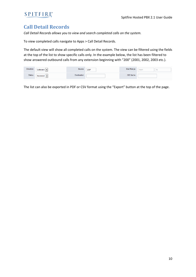### <span id="page-9-0"></span>**Call Detail Records**

*Call Detail Records allows you to view and search completed calls on the system.*

To view completed calls navigate to Apps > Call Detail Records.

The default view will show all completed calls on the system. The view can be filtered using the fields at the top of the list to show specific calls only. In the example below, the list has been filtered to show answered outbound calls from any extension beginning with "200" (2001, 2002, 2003 etc.).

| Direction     | Outbound                       | Source             | 200* | Start Range     | Erom<br><b>FIVIII</b> |  |
|---------------|--------------------------------|--------------------|------|-----------------|-----------------------|--|
| <b>Status</b> | Answered $\blacktriangleright$ | <b>Destination</b> |      | <b>CID Name</b> |                       |  |

The list can also be exported in PDF or CSV format using the "Export" button at the top of the page.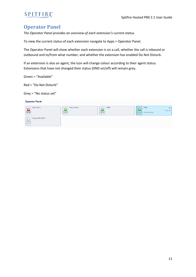### <span id="page-10-0"></span>**Operator Panel**

*The Operator Panel provides an overview of each extension's current status.* 

To view the current status of each extension navigate to Apps > Operator Panel.

The Operator Panel will show whether each extension is on a call, whether the call is inbound or outbound and to/from what number, and whether the extension has enabled Do Not Disturb.

If an extension is also an agent, the icon will change colour according to their agent status. Extensions that have not changed their status (DND on/off) will remain grey.

Green = "Available"

Red = "Do Not Disturb"

Grey = "No status set"

| <b>Operator Panel</b>  |              |      |                     |         |
|------------------------|--------------|------|---------------------|---------|
| Bob (2001)             | Alice (2002) | 2003 | 2004<br>02075013030 | 0:00:01 |
| <b>Group VM (5000)</b> |              |      |                     |         |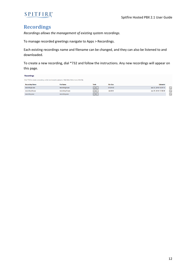

### <span id="page-11-0"></span>**Recordings**

*Recordings allows the management of existing system recordings.* 

To manage recorded greetings navigate to Apps > Recordings.

Each existing recordings name and filename can be changed, and they can also be listened to and downloaded.

To create a new recording, dial \*732 and follow the instructions. Any new recordings will appear on this page.

| <b>Recordings</b>                                                                               |                  |                                             |                  |                       |  |  |  |  |  |  |  |
|-------------------------------------------------------------------------------------------------|------------------|---------------------------------------------|------------------|-----------------------|--|--|--|--|--|--|--|
| Dial *732 to create a recording, or (for best results) upload a 16bit 8khz/16khz mono WAV file. |                  |                                             |                  |                       |  |  |  |  |  |  |  |
| <b>Recording Name</b>                                                                           | <b>File Name</b> | <b>Tools</b>                                | <b>File Size</b> | <b>Uploaded</b>       |  |  |  |  |  |  |  |
| recording0.wav                                                                                  | recording0.wav   | $\blacktriangleright$ $\blacktriangleright$ | 21.29 KB         | Apr 25, 2018 14:01:16 |  |  |  |  |  |  |  |
| recording10.wav                                                                                 | recording10.wav  |                                             | 44.00 B          | Apr 25, 2018 13:58:06 |  |  |  |  |  |  |  |
| recording.wav                                                                                   | recording.wav    | $\mathbf{E}$                                |                  |                       |  |  |  |  |  |  |  |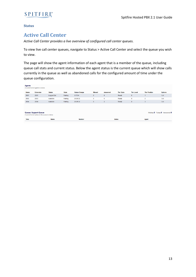<span id="page-12-0"></span>**Status**

### <span id="page-12-1"></span>**Active Call Center**

*Active Call Center provides a live overview of configured call center queues.*

To view live call center queues, navigate to Status > Active Call Center and select the queue you wish to view.

The page will show the agent information of each agent that is a member of the queue, including queue call stats and current status. Below the agent status is the current queue which will show calls currently in the queue as well as abandoned calls for the configured amount of time under the queue configuration.

| <b>Agents</b> | A current list of agents is below.                                       |               |              |                      |               |                 |                   |                   |                      |                                  |
|---------------|--------------------------------------------------------------------------|---------------|--------------|----------------------|---------------|-----------------|-------------------|-------------------|----------------------|----------------------------------|
| <b>Name</b>   | <b>Extension</b>                                                         | <b>Status</b> | <b>State</b> | <b>Status Change</b> | <b>Missed</b> | <b>Answered</b> | <b>Tier State</b> | <b>Tier Level</b> | <b>Tier Position</b> | <b>Options</b>                   |
| 2001          | 2001                                                                     | Logged Out    | Waiting      | 0:17:04              | $\mathbf{0}$  | $\mathbf{0}$    | Ready             | $\mathbf{0}$      |                      | Call                             |
| 2003          | 2003                                                                     | Available     | Waiting      | 20:26:32             | $\bullet$     | 6               | Ready             | $\mathbf{0}$      | $\overline{2}$       | Call                             |
| 2004          | 2004                                                                     | Available     | Waiting      | 20:26:32             | $\mathbf{0}$  | $\overline{2}$  | Ready             | $\mathbf{0}$      | 3                    | Call                             |
|               |                                                                          |               |              |                      |               |                 |                   |                   |                      |                                  |
|               | Queue: Support-Queue<br>A current list of callers in the queue is below. |               |              |                      |               |                 |                   |                   |                      | Waiting: 0 Trying: 0 Answered: 0 |
| <b>Time</b>   |                                                                          | <b>Name</b>   |              | <b>Number</b>        |               |                 | <b>Status</b>     |                   | Agent                |                                  |
|               |                                                                          |               |              |                      |               |                 |                   |                   |                      |                                  |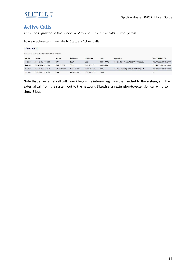

### <span id="page-13-0"></span>**Active Calls**

*Active Calls provides a live overview of all currently active calls on the system.*

To view active calls navigate to Status > Active Calls.

|                                                         | <b>Active Calls (4)</b> |               |                 |             |            |                                          |                       |  |  |  |  |  |  |  |  |
|---------------------------------------------------------|-------------------------|---------------|-----------------|-------------|------------|------------------------------------------|-----------------------|--|--|--|--|--|--|--|--|
| Use this to monitor and interact with the active calls. |                         |               |                 |             |            |                                          |                       |  |  |  |  |  |  |  |  |
| Profile                                                 | Created                 | <b>Number</b> | <b>CID Name</b> | CID Number  | Dest       | Application                              | Read / Write Codec    |  |  |  |  |  |  |  |  |
| internal                                                | 2018-05-09 10:41:34     | 2001          | 2001            | 2001        | 0800500005 | bridge:sofia/gateway/Primary/0800500005  | PCMA:8000 / PCMA:8000 |  |  |  |  |  |  |  |  |
| external                                                | 2018-05-09 10:41:34     | 0800500005    | 2001            | 1887377921  | 0800500005 |                                          | PCMA:8000 / PCMA:8000 |  |  |  |  |  |  |  |  |
| external                                                | 2018-05-09 10:41:58     | 02075013030   | 02075013030     | 02075013030 | 2004       | bridge:user/2004@example.spitfiretsp.net | PCMA:8000 / PCMA:8000 |  |  |  |  |  |  |  |  |
| internal                                                | 2018-05-09 10:41:58     | 2004          | 02075013030     | 02075013030 | 2004       |                                          | : I:                  |  |  |  |  |  |  |  |  |

Note that an external call will have 2 legs – the internal leg from the handset to the system, and the external call from the system out to the network. Likewise, an extension-to-extension call will also show 2 legs.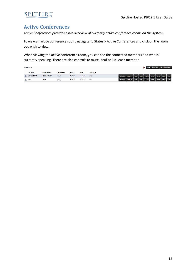

### <span id="page-14-0"></span>**Active Conferences**

*Active Conferences provides a live overview of currently active conference rooms on the system.*

To view an active conference room, navigate to Status > Active Conferences and click on the room you wish to view.

When viewing the active conference room, you can see the connected members and who is currently speaking. There are also controls to mute, deaf or kick each member.

| <b>Members: 2</b> |                   |                     |               |          |                  |                                                    |  |  | LOCK MUTE ALL END CONFERENCE |  |  |
|-------------------|-------------------|---------------------|---------------|----------|------------------|----------------------------------------------------|--|--|------------------------------|--|--|
| <b>CID Name</b>   | <b>CID Number</b> | <b>Capabilities</b> | <b>Joined</b> | Quiet    | <b>Has Floor</b> |                                                    |  |  |                              |  |  |
| 02075013030       | 02075013030       | $D \subset$         | 00:02:14      | 00:00:03 | <b>Yes</b>       | +ENERGY ENERGY +VOL VOL +GAIN GAIN MUTE DEAF KICK  |  |  |                              |  |  |
| 2001              | 2001              | D C                 | 00:04:48      | 00:00:03 | <b>No</b>        | +ENERGY -ENERGY +VOL VOL +GAIN GAIN MUTE DEAF KICK |  |  |                              |  |  |